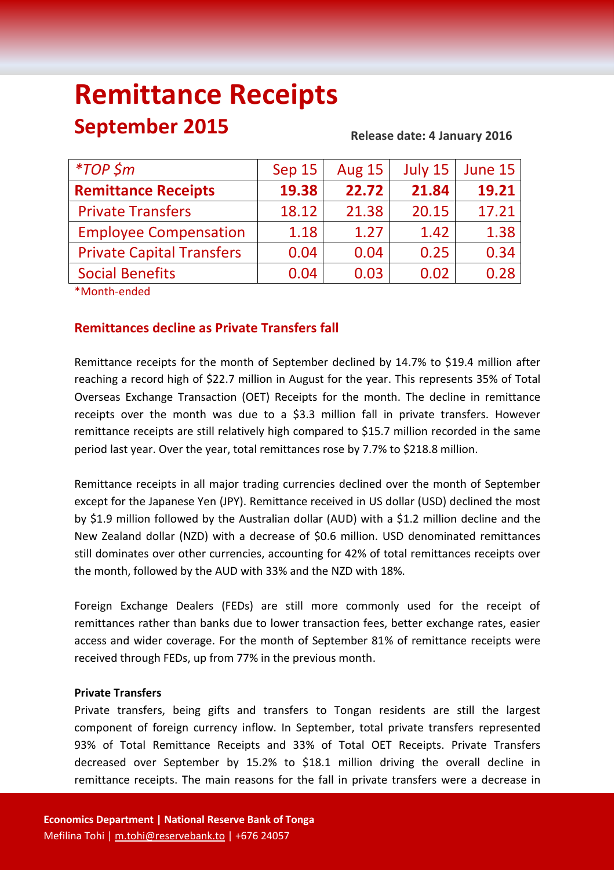# **Remittance Receipts September 2015 Release date: 4 January <sup>2016</sup>**

| $*TOP$ \$m                       | Sep 15 | <b>Aug 15</b> | July 15 | June 15 |
|----------------------------------|--------|---------------|---------|---------|
| <b>Remittance Receipts</b>       | 19.38  | 22.72         | 21.84   | 19.21   |
| <b>Private Transfers</b>         | 18.12  | 21.38         | 20.15   | 17.21   |
| <b>Employee Compensation</b>     | 1.18   | 1.27          | 1.42    | 1.38    |
| <b>Private Capital Transfers</b> | 0.04   | 0.04          | 0.25    | 0.34    |
| <b>Social Benefits</b>           | 0.04   | 0.03          | 0.02    | 0.28    |

\*Month-ended

## **Remittances decline as Private Transfers fall**

Remittance receipts for the month of September declined by 14.7% to \$19.4 million after reaching a record high of \$22.7 million in August for the year. This represents 35% of Total Overseas Exchange Transaction (OET) Receipts for the month. The decline in remittance receipts over the month was due to a \$3.3 million fall in private transfers. However remittance receipts are still relatively high compared to \$15.7 million recorded in the same period last year. Over the year, total remittances rose by 7.7% to \$218.8 million.

Remittance receipts in all major trading currencies declined over the month of September except for the Japanese Yen (JPY). Remittance received in US dollar (USD) declined the most by \$1.9 million followed by the Australian dollar (AUD) with a \$1.2 million decline and the New Zealand dollar (NZD) with a decrease of \$0.6 million. USD denominated remittances still dominates over other currencies, accounting for 42% of total remittances receipts over the month, followed by the AUD with 33% and the NZD with 18%.

Foreign Exchange Dealers (FEDs) are still more commonly used for the receipt of remittances rather than banks due to lower transaction fees, better exchange rates, easier access and wider coverage. For the month of September 81% of remittance receipts were received through FEDs, up from 77% in the previous month.

### **Private Transfers**

Private transfers, being gifts and transfers to Tongan residents are still the largest component of foreign currency inflow. In September, total private transfers represented 93% of Total Remittance Receipts and 33% of Total OET Receipts. Private Transfers decreased over September by 15.2% to \$18.1 million driving the overall decline in remittance receipts. The main reasons for the fall in private transfers were a decrease in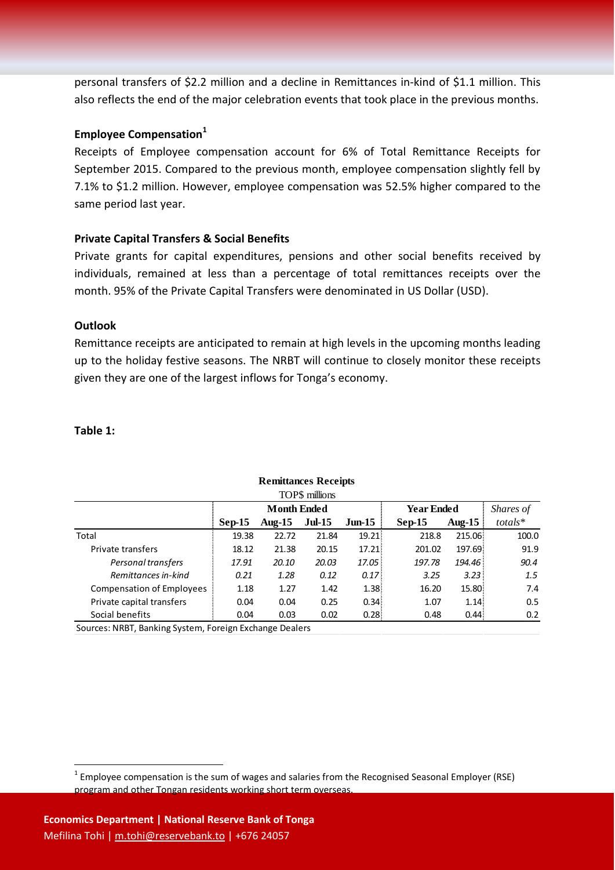personal transfers of \$2.2 million and a decline in Remittances in-kind of \$1.1 million. This also reflects the end of the major celebration events that took place in the previous months.

#### **Employee Compensation<sup>1</sup>**

Receipts of Employee compensation account for 6% of Total Remittance Receipts for September 2015. Compared to the previous month, employee compensation slightly fell by 7.1% to \$1.2 million. However, employee compensation was 52.5% higher compared to the same period last year.

#### **Private Capital Transfers & Social Benefits**

Private grants for capital expenditures, pensions and other social benefits received by individuals, remained at less than a percentage of total remittances receipts over the month. 95% of the Private Capital Transfers were denominated in US Dollar (USD).

#### **Outlook**

Remittance receipts are anticipated to remain at high levels in the upcoming months leading up to the holiday festive seasons. The NRBT will continue to closely monitor these receipts given they are one of the largest inflows for Tonga's economy.

#### **Table 1:**

1

| <b>Remittances Receipts</b>                                                         |                    |           |               |           |                   |                   |               |
|-------------------------------------------------------------------------------------|--------------------|-----------|---------------|-----------|-------------------|-------------------|---------------|
| TOP\$ millions                                                                      |                    |           |               |           |                   |                   |               |
|                                                                                     | <b>Month Ended</b> |           |               |           | <b>Year Ended</b> | Shares of         |               |
|                                                                                     | $Sep-15$           | Aug- $15$ | <b>Jul-15</b> | $J$ un-15 | $Sep-15$          | Aug- $15$         | $totals^*$    |
| Total                                                                               | 19.38              | 22.72     | 21.84         | 19.21     | 218.8             | 215.06            | 100.0         |
| Private transfers                                                                   | 18.12              | 21.38     | 20.15         | 17.21     | 201.02            | 197.69            | 91.9          |
| Personal transfers                                                                  | 17.91              | 20.10     | 20.03         | 17.05     | 197.78            | 194.46            | 90.4          |
| Remittances in-kind                                                                 | 0.21               | 1.28      | 0.12          | 0.17      | 3.25              | 3.23:             | 1.5           |
| <b>Compensation of Employees</b>                                                    | 1.18               | 1.27      | 1.42          | 1.38      | 16.20             | 15.80             | 7.4           |
| Private capital transfers                                                           | 0.04               | 0.04      | 0.25          | 0.34!     | 1.07              | 1.14.             | $0.5^{\circ}$ |
| Social benefits                                                                     | 0.04               | 0.03      | 0.02          | 0.28      | 0.48              | 0.44 <sub>1</sub> | 0.2           |
| $C_1$ . The support $D_1$ of $C_2$ is the set of $C_1$<br>Ford the Full and Dealers |                    |           |               |           |                   |                   |               |

Sources: NRBT, Banking System, Foreign Exchange Dealers

 $1$  Employee compensation is the sum of wages and salaries from the Recognised Seasonal Employer (RSE) program and other Tongan residents working short term overseas.